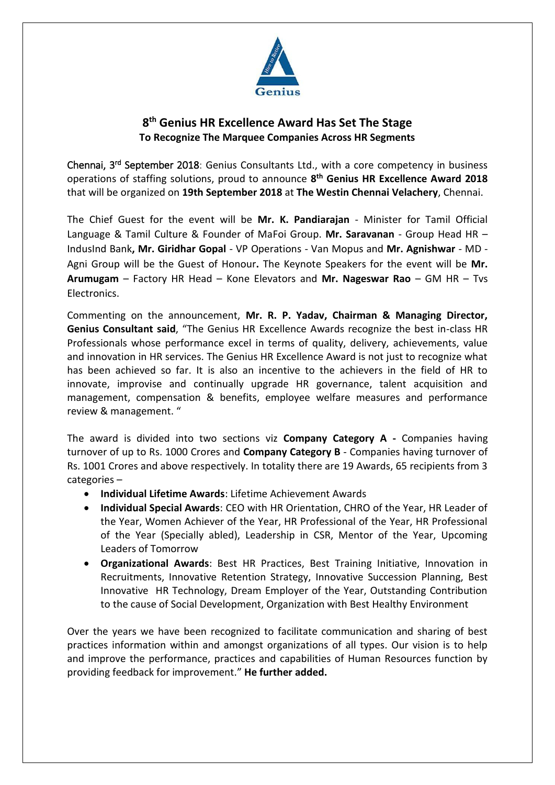

## **8 th Genius HR Excellence Award Has Set The Stage To Recognize The Marquee Companies Across HR Segments**

Chennai, 3<sup>rd</sup> September 2018: Genius Consultants Ltd., with a core competency in business operations of staffing solutions, proud to announce **8 th Genius HR Excellence Award 2018** that will be organized on **19th September 2018** at **The Westin Chennai Velachery**, Chennai.

The Chief Guest for the event will be **Mr. K. Pandiarajan** - Minister for Tamil Official Language & Tamil Culture & Founder of MaFoi Group. **Mr. Saravanan** - Group Head HR – IndusInd Bank**, Mr. Giridhar Gopal** - VP Operations - Van Mopus and **Mr. Agnishwar** - MD - Agni Group will be the Guest of Honour**.** The Keynote Speakers for the event will be **Mr. Arumugam** – Factory HR Head – Kone Elevators and **Mr. Nageswar Rao** – GM HR – Tvs Electronics.

Commenting on the announcement, **Mr. R. P. Yadav, Chairman & Managing Director, Genius Consultant said**, "The Genius HR Excellence Awards recognize the best in-class HR Professionals whose performance excel in terms of quality, delivery, achievements, value and innovation in HR services. The Genius HR Excellence Award is not just to recognize what has been achieved so far. It is also an incentive to the achievers in the field of HR to innovate, improvise and continually upgrade HR governance, talent acquisition and management, compensation & benefits, employee welfare measures and performance review & management. "

The award is divided into two sections viz **Company Category A -** Companies having turnover of up to Rs. 1000 Crores and **Company Category B** - Companies having turnover of Rs. 1001 Crores and above respectively. In totality there are 19 Awards, 65 recipients from 3 categories –

- **Individual Lifetime Awards**: Lifetime Achievement Awards
- **Individual Special Awards**: CEO with HR Orientation, CHRO of the Year, HR Leader of the Year, Women Achiever of the Year, HR Professional of the Year, HR Professional of the Year (Specially abled), Leadership in CSR, Mentor of the Year, Upcoming Leaders of Tomorrow
- **Organizational Awards**: Best HR Practices, Best Training Initiative, Innovation in Recruitments, Innovative Retention Strategy, Innovative Succession Planning, Best Innovative HR Technology, Dream Employer of the Year, Outstanding Contribution to the cause of Social Development, Organization with Best Healthy Environment

Over the years we have been recognized to facilitate communication and sharing of best practices information within and amongst organizations of all types. Our vision is to help and improve the performance, practices and capabilities of Human Resources function by providing feedback for improvement." **He further added.**